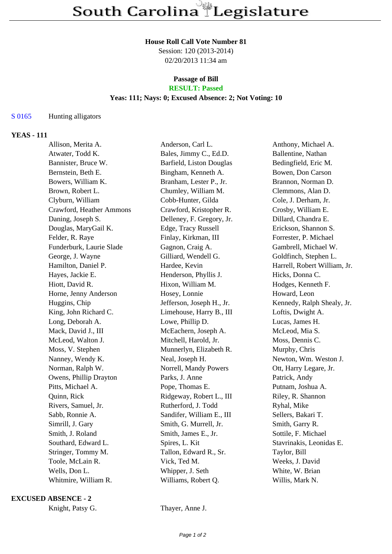#### **House Roll Call Vote Number 81**

Session: 120 (2013-2014) 02/20/2013 11:34 am

#### **Passage of Bill RESULT: Passed**

# **Yeas: 111; Nays: 0; Excused Absence: 2; Not Voting: 10**

## S 0165 Hunting alligators

## **YEAS - 111**

| Allison, Merita A.       | Anderson, Carl L.         | Anthony, Michael A.          |
|--------------------------|---------------------------|------------------------------|
| Atwater, Todd K.         | Bales, Jimmy C., Ed.D.    | Ballentine, Nathan           |
| Bannister, Bruce W.      | Barfield, Liston Douglas  | Bedingfield, Eric M.         |
| Bernstein, Beth E.       | Bingham, Kenneth A.       | Bowen, Don Carson            |
| Bowers, William K.       | Branham, Lester P., Jr.   | Brannon, Norman D.           |
| Brown, Robert L.         | Chumley, William M.       | Clemmons, Alan D.            |
| Clyburn, William         | Cobb-Hunter, Gilda        | Cole, J. Derham, Jr.         |
| Crawford, Heather Ammons | Crawford, Kristopher R.   | Crosby, William E.           |
| Daning, Joseph S.        | Delleney, F. Gregory, Jr. | Dillard, Chandra E.          |
| Douglas, MaryGail K.     | Edge, Tracy Russell       | Erickson, Shannon S.         |
| Felder, R. Raye          | Finlay, Kirkman, III      | Forrester, P. Michael        |
| Funderburk, Laurie Slade | Gagnon, Craig A.          | Gambrell, Michael W.         |
| George, J. Wayne         | Gilliard, Wendell G.      | Goldfinch, Stephen L.        |
| Hamilton, Daniel P.      | Hardee, Kevin             | Harrell, Robert William, Jr. |
| Hayes, Jackie E.         | Henderson, Phyllis J.     | Hicks, Donna C.              |
| Hiott, David R.          | Hixon, William M.         | Hodges, Kenneth F.           |
| Horne, Jenny Anderson    | Hosey, Lonnie             | Howard, Leon                 |
| Huggins, Chip            | Jefferson, Joseph H., Jr. | Kennedy, Ralph Shealy, Jr.   |
| King, John Richard C.    | Limehouse, Harry B., III  | Loftis, Dwight A.            |
| Long, Deborah A.         | Lowe, Phillip D.          | Lucas, James H.              |
| Mack, David J., III      | McEachern, Joseph A.      | McLeod, Mia S.               |
| McLeod, Walton J.        | Mitchell, Harold, Jr.     | Moss, Dennis C.              |
| Moss, V. Stephen         | Munnerlyn, Elizabeth R.   | Murphy, Chris                |
| Nanney, Wendy K.         | Neal, Joseph H.           | Newton, Wm. Weston J.        |
| Norman, Ralph W.         | Norrell, Mandy Powers     | Ott, Harry Legare, Jr.       |
| Owens, Phillip Drayton   | Parks, J. Anne            | Patrick, Andy                |
| Pitts, Michael A.        | Pope, Thomas E.           | Putnam, Joshua A.            |
| Quinn, Rick              | Ridgeway, Robert L., III  | Riley, R. Shannon            |
| Rivers, Samuel, Jr.      | Rutherford, J. Todd       | Ryhal, Mike                  |
| Sabb, Ronnie A.          | Sandifer, William E., III | Sellers, Bakari T.           |
| Simrill, J. Gary         | Smith, G. Murrell, Jr.    | Smith, Garry R.              |
| Smith, J. Roland         | Smith, James E., Jr.      | Sottile, F. Michael          |
| Southard, Edward L.      | Spires, L. Kit            | Stavrinakis, Leonidas E.     |
| Stringer, Tommy M.       | Tallon, Edward R., Sr.    | Taylor, Bill                 |
| Toole, McLain R.         | Vick, Ted M.              | Weeks, J. David              |
| Wells, Don L.            | Whipper, J. Seth          | White, W. Brian              |
| Whitmire, William R.     | Williams, Robert Q.       | Willis, Mark N.              |
|                          |                           |                              |

#### **EXCUSED ABSENCE - 2**

Knight, Patsy G. Thayer, Anne J.